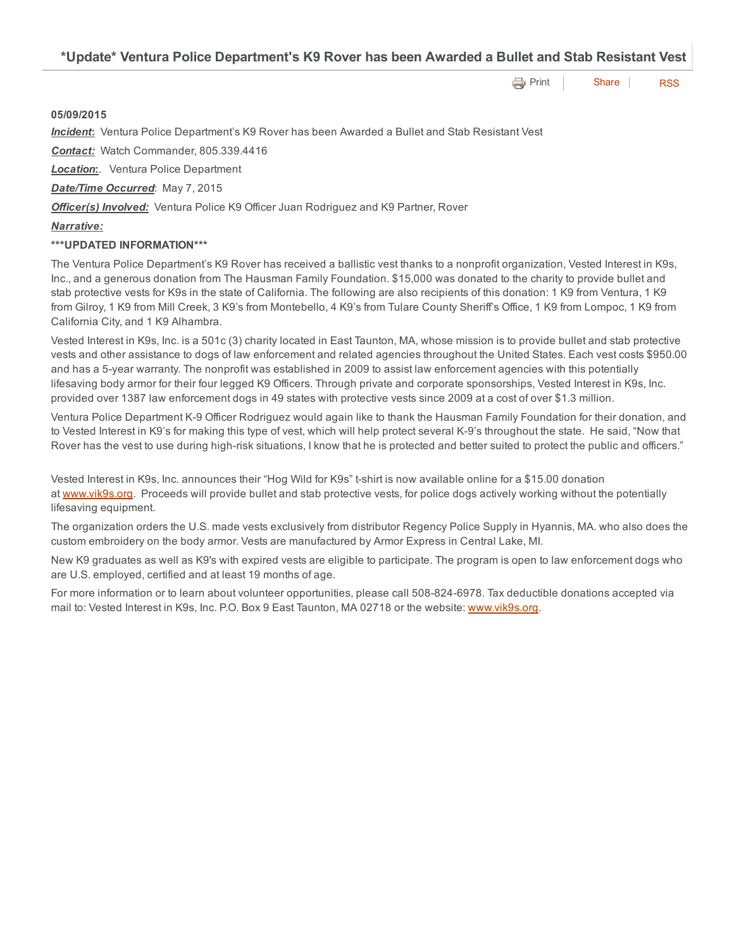\*Update\* Ventura Police Department's K9 Rover has been Awarded a Bullet and Stab Resistant Vest

**[Print](http://www.cityofventura.net/print/16721) | [Share](javascript:void(0)) | [RSS](http://www.cityofventura.net/feed/press_release/rss.xml)** 

## 05/09/2015

*Incident*: Ventura Police Department's K9 Rover has been Awarded a Bullet and Stab Resistant Vest

*Contact:* Watch Commander, 805.339.4416

**Location:**. Ventura Police Department

*Date/Time Occurred*: May 7, 2015

*Officer(s) Involved:* Ventura Police K9 Officer Juan Rodriguez and K9 Partner, Rover

## *Narrative:*

## \*\*\*UPDATED INFORMATION\*\*\*

The Ventura Police Department's K9 Rover has received a ballistic vest thanks to a nonprofit organization, Vested Interest in K9s, Inc., and a generous donation from The Hausman Family Foundation. \$15,000 was donated to the charity to provide bullet and stab protective vests for K9s in the state of California. The following are also recipients of this donation: 1 K9 from Ventura, 1 K9 from Gilroy, 1 K9 from Mill Creek, 3 K9's from Montebello, 4 K9's from Tulare County Sheriff's Office, 1 K9 from Lompoc, 1 K9 from California City, and 1 K9 Alhambra.

Vested Interest in K9s, Inc. is a 501c (3) charity located in East Taunton, MA, whose mission is to provide bullet and stab protective vests and other assistance to dogs of law enforcement and related agencies throughout the United States. Each vest costs \$950.00 and has a 5-year warranty. The nonprofit was established in 2009 to assist law enforcement agencies with this potentially lifesaving body armor for their four legged K9 Officers. Through private and corporate sponsorships, Vested Interest in K9s, Inc. provided over 1387 law enforcement dogs in 49 states with protective vests since 2009 at a cost of over \$1.3 million.

Ventura Police Department K-9 Officer Rodriguez would again like to thank the Hausman Family Foundation for their donation, and to Vested Interest in K9's for making this type of vest, which will help protect several K-9's throughout the state. He said, "Now that Rover has the vest to use during high-risk situations, I know that he is protected and better suited to protect the public and officers."

Vested Interest in K9s, Inc. announces their "Hog Wild for K9s" tshirt is now available online for a \$15.00 donation at [www.vik9s.org](http://www.vik9s.org/). Proceeds will provide bullet and stab protective vests, for police dogs actively working without the potentially lifesaving equipment.

The organization orders the U.S. made vests exclusively from distributor Regency Police Supply in Hyannis, MA. who also does the custom embroidery on the body armor. Vests are manufactured by Armor Express in Central Lake, MI.

New K9 graduates as well as K9's with expired vests are eligible to participate. The program is open to law enforcement dogs who are U.S. employed, certified and at least 19 months of age.

For more information or to learn about volunteer opportunities, please call 508-824-6978. Tax deductible donations accepted via mail to: Vested Interest in K9s, Inc. P.O. Box 9 East Taunton, MA 02718 or the website: [www.vik9s.org.](http://www.vik9s.org/)